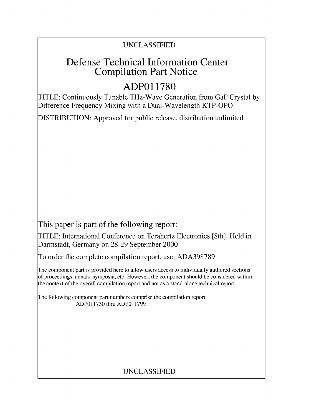### UNCLASSIFIED

## Defense Technical Information Center Compilation Part Notice

# **ADPO1 1780**

TITLE: Continuously Tunable THz-Wave Generation from GaP Crystal by Difference Frequency Mixing with a Dual-Wavelength KTP-OPO

DISTRIBUTION: Approved for public release, distribution unlimited

This paper is part of the following report:

TITLE: International Conference on Terahertz Electronics [8th], Held in Darmstadt, Germany on 28-29 September 2000

To order the complete compilation report, use: ADA398789

The component part is provided here to allow users access to individually authored sections f proceedings, annals, symposia, etc. However, the component should be considered within [he context of the overall compilation report and not as a stand-alone technical report.

The following component part numbers comprise the compilation report: ADPO11730 thru ADP011799

### UNCLASSIFIED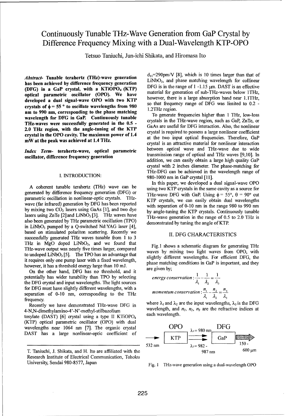### Continuously Tunable THz-Wave Generation from GaP Crystal by Difference Frequency Mixing with a Dual-Wavelength KTP-OPO

Tetsuo Taniuchi, Jun-ichi Shikata, and Hiromasa Ito

has been achieved by difference frequency generation<br>(DFG) in a GaP crystal, with a KTiOPO<sub>4</sub> (KTP) DFG is in the range of 1-1.15  $\mu$ m. DAST is an effective  $\begin{array}{lllllllll} \textbf{(DFG)} & \textbf{in} & \textbf{a} & \textbf{Gar} & \textbf{crys} \\ \textbf{partial} & \textbf{parameteric} & \textbf{oscillator} & \textbf{(OPO)}. & \textbf{We} & \textbf{have} \\ \textbf{densled a } & \textbf{dens} & \textbf{cans} & \textbf{cans} & \textbf{cans} \\ \textbf{densled a } & \textbf{dens} & \textbf{cans} & \textbf{cans} & \textbf{cans} \\ \textbf{densled a } & \textbf{cans} & \textbf{cans} & \textbf{cans} & \textbf{cans} \\$ developed a dual signal-wave OPO with two KTP however, there is a large absorption band near 1.11Hz,<br>so that frequency range of DFG was limited to 0.2 crystals of  $\phi = 55$  ° to oscillate wavelengths from 980  $\frac{\text{so that require}}{\text{1.2THz region}}$ . **nm to 990 nm, corresponding to the phase matching** <sup>1.2THz</sup> region.<br>To generate frequencies higher than 1 THz, low-loss wavelength for DFG in GaP. Continuously tunable<br>The crystals in the THz-wave region, such as GaP, ZnTe, or THz-waves were successfully generated in the 0.5 -<br>2.0 THz region, with the angle-tuning of the KTP 2.0 THZ region, with the angle-tuning of the NTP<br>crystal in the OPO cavity. The maximum power of 1.4 crystal is required to possess a large nonlinear coefficient

A coherent tunable terahertz (THz) wave can be parametric oscillation in nonlinear-optic crystals. THz- $KTP$  crystals, we can easily obtain dual wavelengths wave (far infrared) generation by DFG has been reported with separation of 0-10 nm in the range 980 to 990 nm lasers using  $ZnTe$  [2] and LiNbO<sub>3</sub> [3]. THz waves have  $THz$ -wave generation in the range of 0.5 to 2.0 THz is also been generated by THz parametric oscillation (TPO) demonstrated by tuning the angle of KTP. in LiNbO<sub>3</sub> pumped by a Q-switched Nd:YAG laser  $[4]$ , based on stimulated polariton scattering. Recently we **11.** DFG CHARACTERISTICS successfully generated THz waves tunable from **I** to 3 THz in MgO doped  $LiNbO<sub>3</sub>$ , and we found that Fig.1 shows a schematic diagram for generating THz THz-wave output was nearly five times larger, compared waves by mixing two light waves from OPO, with to undoped LiNbO<sub>3</sub> [5]. The TPO has an advantage that waves by linking two light waves from OFO, with it requires only one pump laser with a fixed wavelength, phase matching conditions in GaP is important, and they however, it has a threshold energy large than 10 mJ. **phase matter** phase matter

On the other hand, DFG has no threshold, and it potentially has wider tunability than TPO by selecting the DFG crystal and input wavelengths. The light sources for DFG must have slightly different wavelengths, with a separation of 0-10 nm, corresponding to the THz frequency.<br>Becaustly we have demanstrated THz wave DEG in where  $\lambda_1$  and  $\lambda_2$  are the input wavelengths,  $\lambda_3$  is the DFG

4-N,N-dimethylamino-4'-N'-methyl-stilbazolium wavelength, and *n., n2, n3* are the refractive indices at tosylate (DAST) [6] crystal using a type II KTiOPO $_4$ (KTP) optical parametric oscillator (OPO) with dual (KTP) optical parametric oscillator (OPO) with dual<br>wavelengths near 1064 nm [7]. The organic crystal **OPO**  $\lambda_1 = 980 \text{ nm}$  DFG<br>DAST has a large nonlinear-optic coefficient of

 $d_{11}$ =290pm/V [8], which is 10 times larger than that of Abstract- Tunable terahertz (THz)-wave generation  $\frac{d_{11}-290\mu\mu}{L1NbO_3}$ , and phase matching wavelength for collinear

GaAs are useful for DFG interaction. Also, the nonlinear crystal in the OPO cavity. The maximum power of  $1.4$  at the two input optical frequencies. Therefore, GaP crystal is an attractive material for nonlinear interaction *Index Term*- terahertz-wave, optical parametric between optical wave and THz-wave due to wide oscillator, difference frequency generation transmission range of optical and THz waves **[9,10].** In addition, we can easily obtain a large high quality GaP crystal with 2 inches diameter. The phase-matching for THz-DFG can be achieved in the wavelength range of I. INTRODUCTION: 980-1000 nm in GaP crystal [11].

In this paper, we developed a dual signal-wave OPO A coherent tunable terahertz (THz) wave can be using two KTP crystals in the same cavity as a source for generated by difference frequency generation (DFG) or THz-wave DFG with GaP. Using  $\phi = 55^\circ$ ,  $\theta = 90^\circ$  cut by mixing two  $CO<sub>2</sub>$  lasers using GaAs [1], and two dye by angle-tuning the KTP crystals. Continuously tunable

energy conservation: 
$$
\frac{1}{\lambda_1} - \frac{1}{\lambda_2} = \frac{1}{\lambda_3}
$$
  
momentum conservation:  $\frac{n_1}{\lambda_1} - \frac{n_2}{\lambda_2} = \frac{n_3}{\lambda_3}$ 

Recently we have demonstrated THz-wave DFG in where  $\lambda_1$  and  $\lambda_2$  are the input wavelengths,  $\lambda_3$  is the DFG wavelength, and  $n_1$ ,  $n_2$ ,  $n_3$  are the refractive indices at



Research Institute of Electrical Communication, Tohoku University, Sendai 980-8577, Japan Fig. 1 THz-wave generation using a dual-wavelength OPO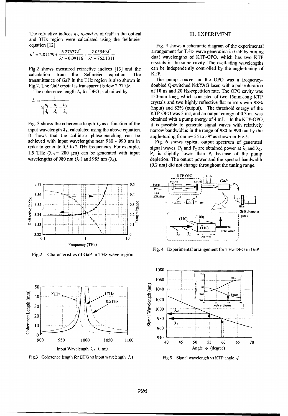The refractive indices  $n_1$ ,  $n_2$  and  $n_3$  of GaP in the optical III. EXPERIMENT and THz region were calculated using the Sellmeier equation [12]. Fig. 4 shows a schematic diagram of the experimental

$$
n^2 = 2.81479 + \frac{6.27677\lambda^2}{\lambda^2 - 0.09116} + \frac{2.05549\lambda^2}{\lambda^2 - 762.1311}
$$

calculation from the Sellmeier equation. The KTP. transmittance of GaP in the THz region is also shown in The pump source for the OPO was a frequency-

$$
L_c = \frac{1}{2\left|\frac{n_1}{\lambda_1} - \frac{n_2}{\lambda_2} - \frac{n_3}{\lambda_3}\right|}
$$

It shows that the collinear phase-matching can be angle-tuning from  $\phi$ = 55 to 59° as shown in Fig.5. achieved with input wavelengths near 980 - 990 nm in Fig. 6 shows typical output spectrum of generated order to generate 0.5 to 2 THz frequencies. For example, signal waves. P<sub>1</sub> and P<sub>2</sub> are obtained power at  $\lambda_1$  and  $\lambda_2$ . 1.5 THz  $(\lambda_3 = 200 \text{ }\mu\text{m})$  can be generated with input  $P_2$  is slightly lower than P<sub>1</sub> because of the pump wavelengths of 980 nm  $(\lambda_1)$  and 985 nm  $(\lambda_2)$ . depletion. The output power and the spectral bandwidth



Fig.2 Characteristics of GaP in THz-wave region



Fig.3 Coherence length for DFG vs input wavelength  $\lambda$  1 Fig.5 Signal wavelength vs KTP angle  $\phi$ 

arrangement for THz- wave generation in GaP by mixing <sup>1</sup> dual wavelengths of KTP-OPO, which has two KTP crystals in the same cavity. The oscillating wavelengths Fig.2 shows measured refractive indices [13] and the can be independently controlled by the angle-tuning of

Fig.2. The GaP crystal is transparent below 2.7THz. doubled Q-switched Nd:YAG laser, with a pulse duration The coherence length  $L_c$  for DFG is obtained by: of 10 ns and 20 Hz-repetition rate. The OPO cavity was <sup>1</sup>150-mm long, which consisted of two 15mm-long KTP crystals and two highly reflective flat mirrors with 98% (input) and 82% (output). The threshold energy of the *KTP-OPO* was 3 mJ, and an output energy of 0.3 mJ was obtained with a pump energy of 4 mJ. In the KTP-OPO, Fig. 3 shows the coherence length  $L_c$  as a function of the it is possible to generate signal waves with relatively input wavelength  $\lambda_1$ , calculated using the above equation. narrow bandwidths in the range of 980 to 990 nm by the

(0.2 nm) did not change throughout the tuning range.



Fig. 4 Experimental arrangement for THz-DFG in GaP

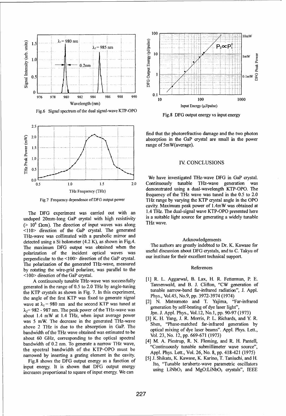

Fig.6 Signal spectrum of the dual signal-wave KTP-OPO Fig.8 DFG output energy vs input energy



undoped 20mm-long GaP crystal with high resistivity is a suitable light source for generating a suitable light source for  $\frac{100}{100}$  Cause  $\frac{100}{100}$  Cause  $\frac{100}{100}$  Cause  $\frac{100}{100}$  Cause  $\frac{100}{100}$  Cause ( $> 10^6$  Ωcm). The direction of input waves was along <110> direction of the GaP crystal. The generated THz-wave was collimated with a parabolic mirror and detected using a Si bolometer (4.2 K), as shown in Fig.4.<br>The authors are greatly indebted to Dr. K. Kawase for<br>The maximum DEG output was obtained when the The authors are greatly indebted to Dr. K. Kawase for The maximum DFG output was obtained when the The authors are greatly indebted to Dr. K. Kawase for relations of the incident ortical ways use useful discussion about DFG crystals, and to C. Takyu of polarization of the incident optical waves was useful discussion about DFG crystals, and to C. The memorial particle of the CION direction of the GaB crystal our institute for their excellent technical support. perpendicular to the <100> direction of the GaP crystal. The polarization of the generated THz-wave, measured by rotating the wire-grid polarizer, was parallel to the References <100> direction of the GaP crystal.

generated in the range of 0.5 to 2.0 THz by angle-tuning Tannenwald, and B. J. Clifton, "CW generation of tunable narrow-band far-infrared radiation", J. Appl. the KTP crystals as shown in Fig. 7. In this experiment, the angle narrow-band far-infrared radiation<br>the angle of the first KTP was fixed to generate signal Phys., Vol.45, No.9, pp. 3972-3974 (1974) the angle of the first KTP was fixed to generate signal Phys., Vol.45, No.9, pp. 3972-3974 (1974)<br>
[2] N. Matsumoto and T. Yajima, "Far-infrared wave at  $\lambda_1 = 980$  nm and the second KTP was tuned at  $\frac{1}{2}$  N. Matsumoto and T. Yajima, "Far- $\lambda_2$ = 982 - 987 nm. The peak power of the THz-wave was generation by self-beating of dye laser light",<br>https://www.html are beak power self-beat 1.4 THz when input oversee power Jpn. J. Appl. Phys., Vol.12, No.1, pp. 90 about 1.4 mW at 1.4 THz, when input average power  $\begin{bmatrix} 3 \end{bmatrix}$  K. H. Yang, J. R. Morris, P. L. Richards, and Y. R. was 5 mW. The decrease in the generated THz-wave  $\begin{bmatrix} 3 \end{bmatrix}$  K. H. Yang, J. R. Morris, P. L. Richards, and Y. R. above 2 THz is due to the absorption in GaP. The shell, rilase-matched far-infrared generation by applical mixing of dye laser beams". Appl. Phys. Lett., bandwidth of the THz wave obtained was estimated to be  $\frac{1}{23}$ , No. 12, pp. 669-671 (1973) about 60 GHz, corresponding to the optical spectral  $[4]$  M. A. Piestrup, R. N. Fleming, and R. H. Pantell, bandwidth of 0.2 nm. To generate a narrow THz wave,<br>"Continuously tunable submillimeter wave source", the spectral bandwidth of the KTP-OPO must be Appl. Phys. Lett., Vol. 26, No. 8, pp. 418-421 (1975) narrowed by inserting a grating element in the cavity. **Appl. Phys. Lett., Vol. 20, No. 8, pp. 418-421** (1975)<br>[5] J. Shikata, K. Kawase, K. Karino, T. Tanjuchi, and H.

input energy. It is shown that DFG output energy ito, Tunable terahertz-wave parametric oscillators is the second of the second of the second of the second of the second of the second of the second of the second of the sec increases proportional to square of input energy. We can



range of 5mW(average).

**1.0 <b>1.0** THz-wave generation 1Hz Frequency (THz) demonstrated using a dual-wavelength KTP-OPO. The frequency of the THz wave was tuned in the 0.5 to 2.0 Fig.7 Frequency dependence of DFG output power THz range by varying the KTP crystal angle in the OPO cavity. Maximum peak power of 1.4mW was obtained at The DFG experiment was carried out with an 1.4 THz. The dual-signal wave KTP-OPO presented here<br>odoned 20mm-long GaP crystal with high resistivity is a suitable light source for generating a widely tunable

- A continuously tunable THz-wave was successfully [1] R. L. Aggarwal, B. Lax, H. R. Fetterman, P. E.<br>A continuously tunable THz-wave was successfully [1] R. L. Aggarwal, B. Lax, H. R. Fetterman, P. E.
	-
	-
	-
- Fig.8 shows the DFG output energy as a function of [5] J. Shikata, K. Kawase, K. Karino, T. Taniuchi, and H.<br>Ito, "Tunable terahertz-wave parametric oscillators"